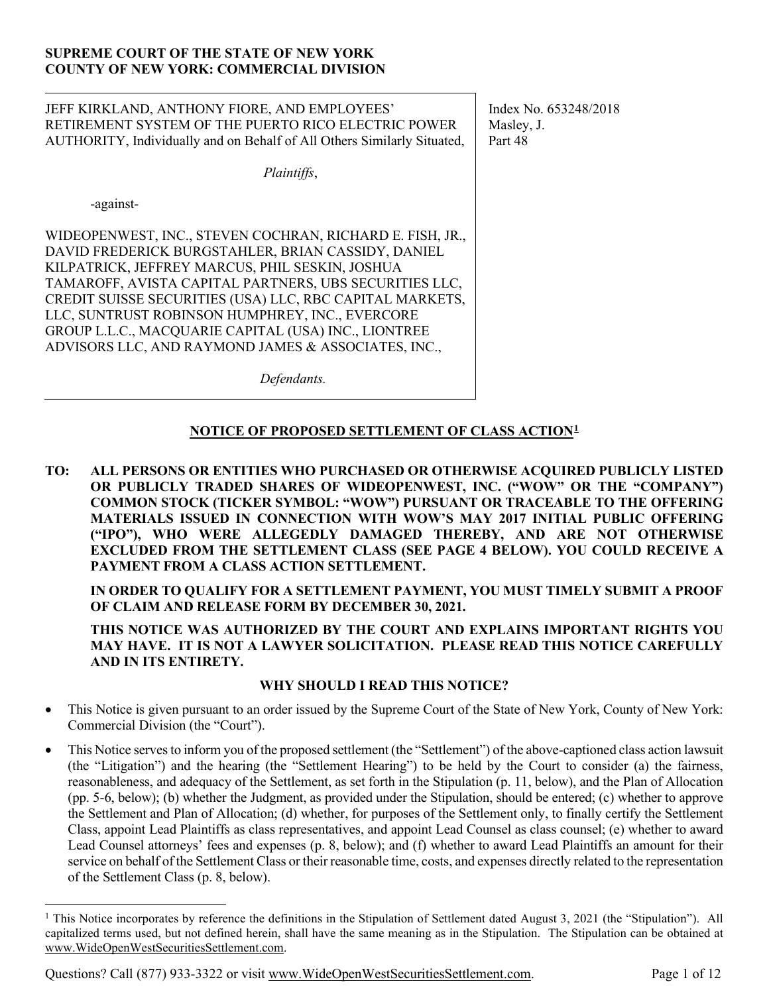## **SUPREME COURT OF THE STATE OF NEW YORK COUNTY OF NEW YORK: COMMERCIAL DIVISION**

| JEFF KIRKLAND, ANTHONY FIORE, AND EMPLOYEES'<br>RETIREMENT SYSTEM OF THE PUERTO RICO ELECTRIC POWER<br>AUTHORITY, Individually and on Behalf of All Others Similarly Situated,                                                                                                                                                                                                                                                                             | Index No. 653248/2018<br>Masley, J.<br>Part 48 |
|------------------------------------------------------------------------------------------------------------------------------------------------------------------------------------------------------------------------------------------------------------------------------------------------------------------------------------------------------------------------------------------------------------------------------------------------------------|------------------------------------------------|
| Plaintiffs,                                                                                                                                                                                                                                                                                                                                                                                                                                                |                                                |
| -against-                                                                                                                                                                                                                                                                                                                                                                                                                                                  |                                                |
| WIDEOPENWEST, INC., STEVEN COCHRAN, RICHARD E. FISH, JR.,<br>DAVID FREDERICK BURGSTAHLER, BRIAN CASSIDY, DANIEL<br>KILPATRICK, JEFFREY MARCUS, PHIL SESKIN, JOSHUA<br>TAMAROFF, AVISTA CAPITAL PARTNERS, UBS SECURITIES LLC,<br>CREDIT SUISSE SECURITIES (USA) LLC, RBC CAPITAL MARKETS,<br>LLC, SUNTRUST ROBINSON HUMPHREY, INC., EVERCORE<br>GROUP L.L.C., MACQUARIE CAPITAL (USA) INC., LIONTREE<br>ADVISORS LLC, AND RAYMOND JAMES & ASSOCIATES, INC., |                                                |
| Defendants.                                                                                                                                                                                                                                                                                                                                                                                                                                                |                                                |

# **NOTICE OF PROPOSED SETTLEMENT OF CLASS ACTION[1](#page-0-0)**

**TO: ALL PERSONS OR ENTITIES WHO PURCHASED OR OTHERWISE ACQUIRED PUBLICLY LISTED OR PUBLICLY TRADED SHARES OF WIDEOPENWEST, INC. ("WOW" OR THE "COMPANY") COMMON STOCK (TICKER SYMBOL: "WOW") PURSUANT OR TRACEABLE TO THE OFFERING MATERIALS ISSUED IN CONNECTION WITH WOW'S MAY 2017 INITIAL PUBLIC OFFERING ("IPO"), WHO WERE ALLEGEDLY DAMAGED THEREBY, AND ARE NOT OTHERWISE EXCLUDED FROM THE SETTLEMENT CLASS (SEE PAGE 4 BELOW). YOU COULD RECEIVE A PAYMENT FROM A CLASS ACTION SETTLEMENT.**

**IN ORDER TO QUALIFY FOR A SETTLEMENT PAYMENT, YOU MUST TIMELY SUBMIT A PROOF OF CLAIM AND RELEASE FORM BY DECEMBER 30, 2021.**

**THIS NOTICE WAS AUTHORIZED BY THE COURT AND EXPLAINS IMPORTANT RIGHTS YOU MAY HAVE. IT IS NOT A LAWYER SOLICITATION. PLEASE READ THIS NOTICE CAREFULLY AND IN ITS ENTIRETY.**

### **WHY SHOULD I READ THIS NOTICE?**

- This Notice is given pursuant to an order issued by the Supreme Court of the State of New York, County of New York: Commercial Division (the "Court").
- This Notice serves to inform you of the proposed settlement (the "Settlement") of the above-captioned class action lawsuit (the "Litigation") and the hearing (the "Settlement Hearing") to be held by the Court to consider (a) the fairness, reasonableness, and adequacy of the Settlement, as set forth in the Stipulation (p. 11, below), and the Plan of Allocation (pp. 5-6, below); (b) whether the Judgment, as provided under the Stipulation, should be entered; (c) whether to approve the Settlement and Plan of Allocation; (d) whether, for purposes of the Settlement only, to finally certify the Settlement Class, appoint Lead Plaintiffs as class representatives, and appoint Lead Counsel as class counsel; (e) whether to award Lead Counsel attorneys' fees and expenses (p. 8, below); and (f) whether to award Lead Plaintiffs an amount for their service on behalf of the Settlement Class or their reasonable time, costs, and expenses directly related to the representation of the Settlement Class (p. 8, below).

Questions? Call (877) 933-3322 or visit www.WideOpenWestSecuritiesSettlement.com. Page 1 of 12

<span id="page-0-0"></span><sup>&</sup>lt;sup>1</sup> This Notice incorporates by reference the definitions in the Stipulation of Settlement dated August 3, 2021 (the "Stipulation"). All capitalized terms used, but not defined herein, shall have the same meaning as in the Stipulation. The Stipulation can be obtained at www.WideOpenWestSecuritiesSettlement.com.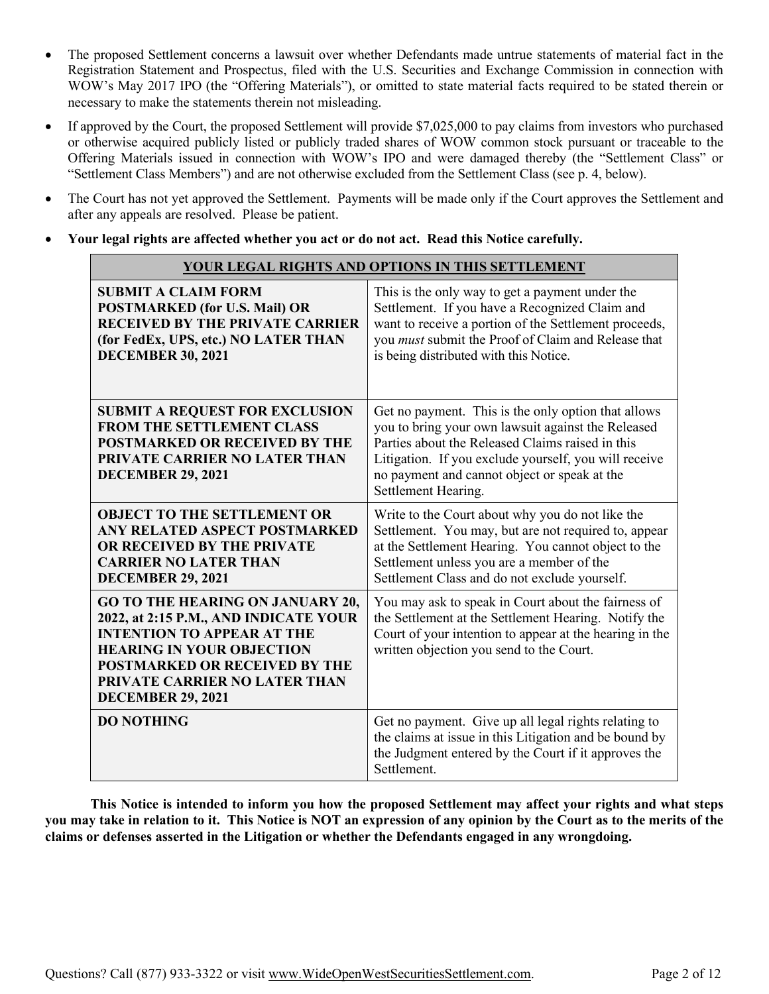- The proposed Settlement concerns a lawsuit over whether Defendants made untrue statements of material fact in the Registration Statement and Prospectus, filed with the U.S. Securities and Exchange Commission in connection with WOW's May 2017 IPO (the "Offering Materials"), or omitted to state material facts required to be stated therein or necessary to make the statements therein not misleading.
- If approved by the Court, the proposed Settlement will provide \$7,025,000 to pay claims from investors who purchased or otherwise acquired publicly listed or publicly traded shares of WOW common stock pursuant or traceable to the Offering Materials issued in connection with WOW's IPO and were damaged thereby (the "Settlement Class" or "Settlement Class Members") and are not otherwise excluded from the Settlement Class (see p. 4, below).
- The Court has not yet approved the Settlement. Payments will be made only if the Court approves the Settlement and after any appeals are resolved. Please be patient.
- **Your legal rights are affected whether you act or do not act. Read this Notice carefully.**

| YOUR LEGAL RIGHTS AND OPTIONS IN THIS SETTLEMENT                                                                                                                                                                                                               |                                                                                                                                                                                                                                                                                               |
|----------------------------------------------------------------------------------------------------------------------------------------------------------------------------------------------------------------------------------------------------------------|-----------------------------------------------------------------------------------------------------------------------------------------------------------------------------------------------------------------------------------------------------------------------------------------------|
| <b>SUBMIT A CLAIM FORM</b><br><b>POSTMARKED (for U.S. Mail) OR</b><br><b>RECEIVED BY THE PRIVATE CARRIER</b><br>(for FedEx, UPS, etc.) NO LATER THAN<br><b>DECEMBER 30, 2021</b>                                                                               | This is the only way to get a payment under the<br>Settlement. If you have a Recognized Claim and<br>want to receive a portion of the Settlement proceeds,<br>you must submit the Proof of Claim and Release that<br>is being distributed with this Notice.                                   |
| <b>SUBMIT A REQUEST FOR EXCLUSION</b><br>FROM THE SETTLEMENT CLASS<br><b>POSTMARKED OR RECEIVED BY THE</b><br>PRIVATE CARRIER NO LATER THAN<br><b>DECEMBER 29, 2021</b>                                                                                        | Get no payment. This is the only option that allows<br>you to bring your own lawsuit against the Released<br>Parties about the Released Claims raised in this<br>Litigation. If you exclude yourself, you will receive<br>no payment and cannot object or speak at the<br>Settlement Hearing. |
| <b>OBJECT TO THE SETTLEMENT OR</b><br>ANY RELATED ASPECT POSTMARKED<br>OR RECEIVED BY THE PRIVATE<br><b>CARRIER NO LATER THAN</b><br><b>DECEMBER 29, 2021</b>                                                                                                  | Write to the Court about why you do not like the<br>Settlement. You may, but are not required to, appear<br>at the Settlement Hearing. You cannot object to the<br>Settlement unless you are a member of the<br>Settlement Class and do not exclude yourself.                                 |
| <b>GO TO THE HEARING ON JANUARY 20,</b><br>2022, at 2:15 P.M., AND INDICATE YOUR<br><b>INTENTION TO APPEAR AT THE</b><br><b>HEARING IN YOUR OBJECTION</b><br><b>POSTMARKED OR RECEIVED BY THE</b><br>PRIVATE CARRIER NO LATER THAN<br><b>DECEMBER 29, 2021</b> | You may ask to speak in Court about the fairness of<br>the Settlement at the Settlement Hearing. Notify the<br>Court of your intention to appear at the hearing in the<br>written objection you send to the Court.                                                                            |
| <b>DO NOTHING</b>                                                                                                                                                                                                                                              | Get no payment. Give up all legal rights relating to<br>the claims at issue in this Litigation and be bound by<br>the Judgment entered by the Court if it approves the<br>Settlement.                                                                                                         |

**This Notice is intended to inform you how the proposed Settlement may affect your rights and what steps you may take in relation to it. This Notice is NOT an expression of any opinion by the Court as to the merits of the claims or defenses asserted in the Litigation or whether the Defendants engaged in any wrongdoing.**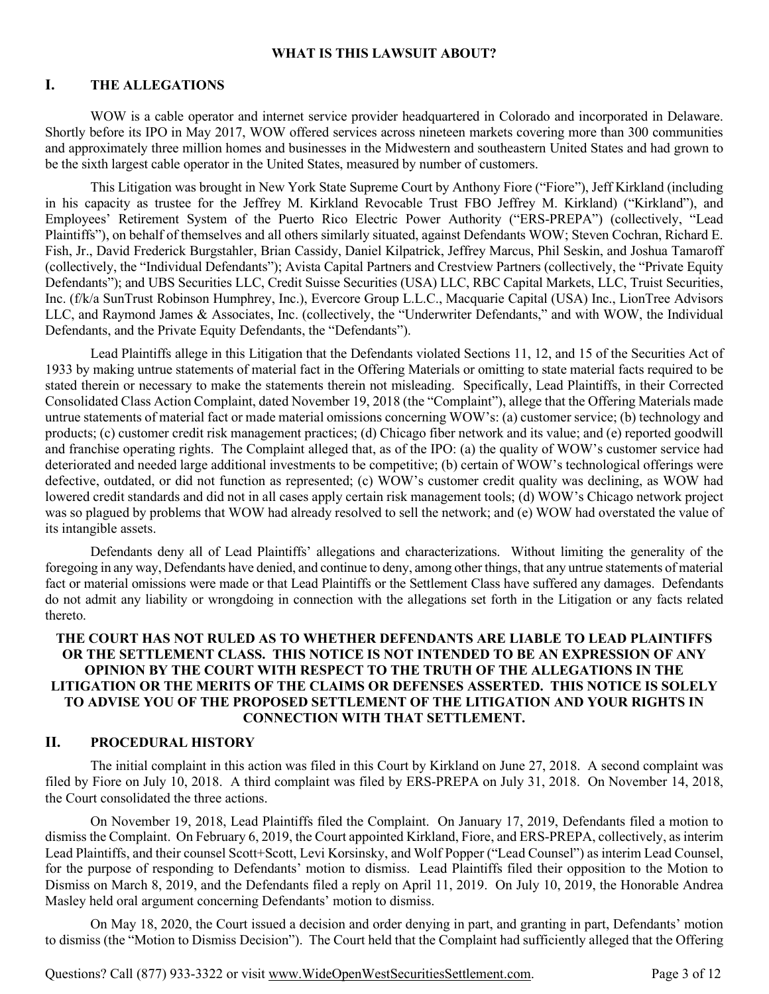#### **WHAT IS THIS LAWSUIT ABOUT?**

### **I. THE ALLEGATIONS**

WOW is a cable operator and internet service provider headquartered in Colorado and incorporated in Delaware. Shortly before its IPO in May 2017, WOW offered services across nineteen markets covering more than 300 communities and approximately three million homes and businesses in the Midwestern and southeastern United States and had grown to be the sixth largest cable operator in the United States, measured by number of customers.

This Litigation was brought in New York State Supreme Court by Anthony Fiore ("Fiore"), Jeff Kirkland (including in his capacity as trustee for the Jeffrey M. Kirkland Revocable Trust FBO Jeffrey M. Kirkland) ("Kirkland"), and Employees' Retirement System of the Puerto Rico Electric Power Authority ("ERS-PREPA") (collectively, "Lead Plaintiffs"), on behalf of themselves and all others similarly situated, against Defendants WOW; Steven Cochran, Richard E. Fish, Jr., David Frederick Burgstahler, Brian Cassidy, Daniel Kilpatrick, Jeffrey Marcus, Phil Seskin, and Joshua Tamaroff (collectively, the "Individual Defendants"); Avista Capital Partners and Crestview Partners (collectively, the "Private Equity Defendants"); and UBS Securities LLC, Credit Suisse Securities (USA) LLC, RBC Capital Markets, LLC, Truist Securities, Inc. (f/k/a SunTrust Robinson Humphrey, Inc.), Evercore Group L.L.C., Macquarie Capital (USA) Inc., LionTree Advisors LLC, and Raymond James & Associates, Inc. (collectively, the "Underwriter Defendants," and with WOW, the Individual Defendants, and the Private Equity Defendants, the "Defendants").

Lead Plaintiffs allege in this Litigation that the Defendants violated Sections 11, 12, and 15 of the Securities Act of 1933 by making untrue statements of material fact in the Offering Materials or omitting to state material facts required to be stated therein or necessary to make the statements therein not misleading. Specifically, Lead Plaintiffs, in their Corrected Consolidated Class Action Complaint, dated November 19, 2018 (the "Complaint"), allege that the Offering Materials made untrue statements of material fact or made material omissions concerning WOW's: (a) customer service; (b) technology and products; (c) customer credit risk management practices; (d) Chicago fiber network and its value; and (e) reported goodwill and franchise operating rights. The Complaint alleged that, as of the IPO: (a) the quality of WOW's customer service had deteriorated and needed large additional investments to be competitive; (b) certain of WOW's technological offerings were defective, outdated, or did not function as represented; (c) WOW's customer credit quality was declining, as WOW had lowered credit standards and did not in all cases apply certain risk management tools; (d) WOW's Chicago network project was so plagued by problems that WOW had already resolved to sell the network; and (e) WOW had overstated the value of its intangible assets.

Defendants deny all of Lead Plaintiffs' allegations and characterizations. Without limiting the generality of the foregoing in any way, Defendants have denied, and continue to deny, among other things, that any untrue statements of material fact or material omissions were made or that Lead Plaintiffs or the Settlement Class have suffered any damages. Defendants do not admit any liability or wrongdoing in connection with the allegations set forth in the Litigation or any facts related thereto.

## **THE COURT HAS NOT RULED AS TO WHETHER DEFENDANTS ARE LIABLE TO LEAD PLAINTIFFS OR THE SETTLEMENT CLASS. THIS NOTICE IS NOT INTENDED TO BE AN EXPRESSION OF ANY OPINION BY THE COURT WITH RESPECT TO THE TRUTH OF THE ALLEGATIONS IN THE LITIGATION OR THE MERITS OF THE CLAIMS OR DEFENSES ASSERTED. THIS NOTICE IS SOLELY TO ADVISE YOU OF THE PROPOSED SETTLEMENT OF THE LITIGATION AND YOUR RIGHTS IN CONNECTION WITH THAT SETTLEMENT.**

#### **II. PROCEDURAL HISTORY**

The initial complaint in this action was filed in this Court by Kirkland on June 27, 2018. A second complaint was filed by Fiore on July 10, 2018. A third complaint was filed by ERS-PREPA on July 31, 2018. On November 14, 2018, the Court consolidated the three actions.

On November 19, 2018, Lead Plaintiffs filed the Complaint. On January 17, 2019, Defendants filed a motion to dismiss the Complaint. On February 6, 2019, the Court appointed Kirkland, Fiore, and ERS-PREPA, collectively, as interim Lead Plaintiffs, and their counsel Scott+Scott, Levi Korsinsky, and Wolf Popper ("Lead Counsel") as interim Lead Counsel, for the purpose of responding to Defendants' motion to dismiss. Lead Plaintiffs filed their opposition to the Motion to Dismiss on March 8, 2019, and the Defendants filed a reply on April 11, 2019. On July 10, 2019, the Honorable Andrea Masley held oral argument concerning Defendants' motion to dismiss.

On May 18, 2020, the Court issued a decision and order denying in part, and granting in part, Defendants' motion to dismiss (the "Motion to Dismiss Decision"). The Court held that the Complaint had sufficiently alleged that the Offering

Questions? Call (877) 933-3322 or visit www.WideOpenWestSecuritiesSettlement.com. Page 3 of 12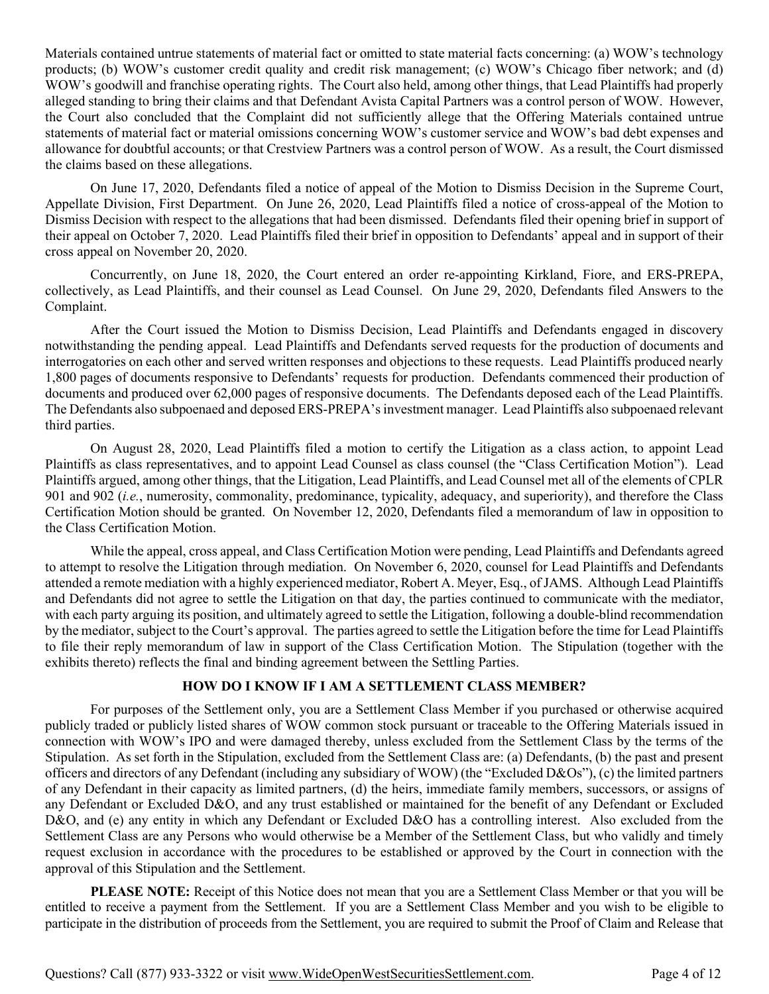Materials contained untrue statements of material fact or omitted to state material facts concerning: (a) WOW's technology products; (b) WOW's customer credit quality and credit risk management; (c) WOW's Chicago fiber network; and (d) WOW's goodwill and franchise operating rights. The Court also held, among other things, that Lead Plaintiffs had properly alleged standing to bring their claims and that Defendant Avista Capital Partners was a control person of WOW. However, the Court also concluded that the Complaint did not sufficiently allege that the Offering Materials contained untrue statements of material fact or material omissions concerning WOW's customer service and WOW's bad debt expenses and allowance for doubtful accounts; or that Crestview Partners was a control person of WOW. As a result, the Court dismissed the claims based on these allegations.

On June 17, 2020, Defendants filed a notice of appeal of the Motion to Dismiss Decision in the Supreme Court, Appellate Division, First Department. On June 26, 2020, Lead Plaintiffs filed a notice of cross-appeal of the Motion to Dismiss Decision with respect to the allegations that had been dismissed. Defendants filed their opening brief in support of their appeal on October 7, 2020. Lead Plaintiffs filed their brief in opposition to Defendants' appeal and in support of their cross appeal on November 20, 2020.

Concurrently, on June 18, 2020, the Court entered an order re-appointing Kirkland, Fiore, and ERS-PREPA, collectively, as Lead Plaintiffs, and their counsel as Lead Counsel. On June 29, 2020, Defendants filed Answers to the Complaint.

After the Court issued the Motion to Dismiss Decision, Lead Plaintiffs and Defendants engaged in discovery notwithstanding the pending appeal. Lead Plaintiffs and Defendants served requests for the production of documents and interrogatories on each other and served written responses and objections to these requests. Lead Plaintiffs produced nearly 1,800 pages of documents responsive to Defendants' requests for production. Defendants commenced their production of documents and produced over 62,000 pages of responsive documents. The Defendants deposed each of the Lead Plaintiffs. The Defendants also subpoenaed and deposed ERS-PREPA's investment manager. Lead Plaintiffs also subpoenaed relevant third parties.

On August 28, 2020, Lead Plaintiffs filed a motion to certify the Litigation as a class action, to appoint Lead Plaintiffs as class representatives, and to appoint Lead Counsel as class counsel (the "Class Certification Motion"). Lead Plaintiffs argued, among other things, that the Litigation, Lead Plaintiffs, and Lead Counsel met all of the elements of CPLR 901 and 902 (*i.e.*, numerosity, commonality, predominance, typicality, adequacy, and superiority), and therefore the Class Certification Motion should be granted. On November 12, 2020, Defendants filed a memorandum of law in opposition to the Class Certification Motion.

While the appeal, cross appeal, and Class Certification Motion were pending, Lead Plaintiffs and Defendants agreed to attempt to resolve the Litigation through mediation. On November 6, 2020, counsel for Lead Plaintiffs and Defendants attended a remote mediation with a highly experienced mediator, Robert A. Meyer, Esq., of JAMS. Although Lead Plaintiffs and Defendants did not agree to settle the Litigation on that day, the parties continued to communicate with the mediator, with each party arguing its position, and ultimately agreed to settle the Litigation, following a double-blind recommendation by the mediator, subject to the Court's approval. The parties agreed to settle the Litigation before the time for Lead Plaintiffs to file their reply memorandum of law in support of the Class Certification Motion. The Stipulation (together with the exhibits thereto) reflects the final and binding agreement between the Settling Parties.

# **HOW DO I KNOW IF I AM A SETTLEMENT CLASS MEMBER?**

For purposes of the Settlement only, you are a Settlement Class Member if you purchased or otherwise acquired publicly traded or publicly listed shares of WOW common stock pursuant or traceable to the Offering Materials issued in connection with WOW's IPO and were damaged thereby, unless excluded from the Settlement Class by the terms of the Stipulation. As set forth in the Stipulation, excluded from the Settlement Class are: (a) Defendants, (b) the past and present officers and directors of any Defendant (including any subsidiary of WOW) (the "Excluded D&Os"), (c) the limited partners of any Defendant in their capacity as limited partners, (d) the heirs, immediate family members, successors, or assigns of any Defendant or Excluded D&O, and any trust established or maintained for the benefit of any Defendant or Excluded D&O, and (e) any entity in which any Defendant or Excluded D&O has a controlling interest. Also excluded from the Settlement Class are any Persons who would otherwise be a Member of the Settlement Class, but who validly and timely request exclusion in accordance with the procedures to be established or approved by the Court in connection with the approval of this Stipulation and the Settlement.

**PLEASE NOTE:** Receipt of this Notice does not mean that you are a Settlement Class Member or that you will be entitled to receive a payment from the Settlement. If you are a Settlement Class Member and you wish to be eligible to participate in the distribution of proceeds from the Settlement, you are required to submit the Proof of Claim and Release that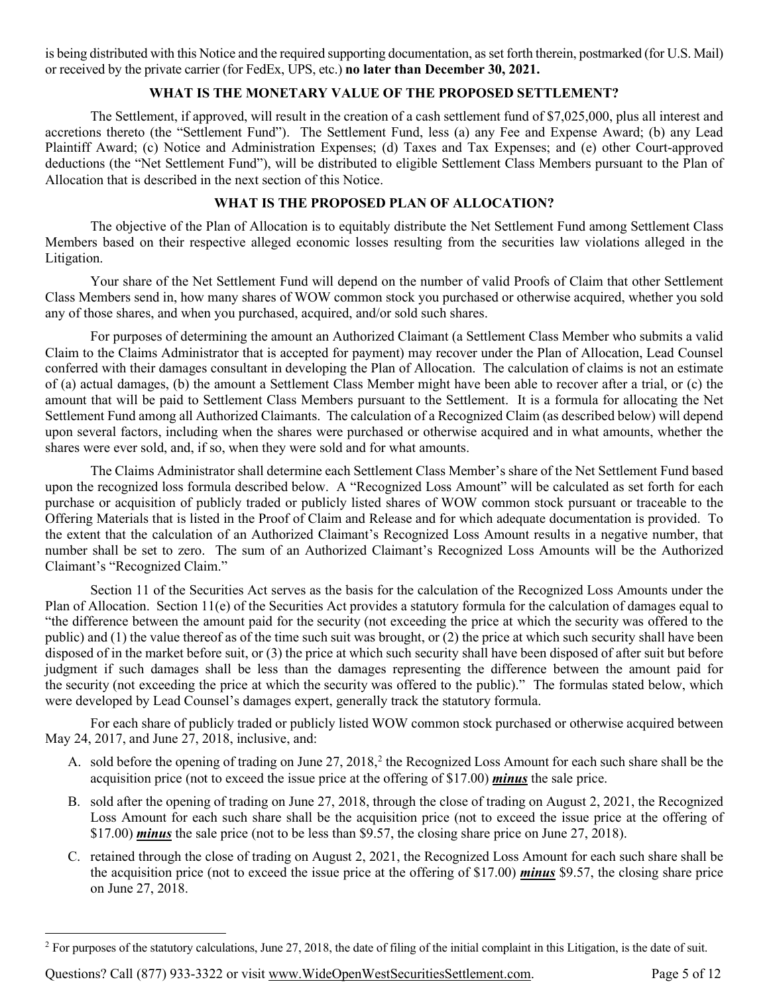is being distributed with this Notice and the required supporting documentation, as set forth therein, postmarked (for U.S. Mail) or received by the private carrier (for FedEx, UPS, etc.) **no later than December 30, 2021.**

# **WHAT IS THE MONETARY VALUE OF THE PROPOSED SETTLEMENT?**

The Settlement, if approved, will result in the creation of a cash settlement fund of \$7,025,000, plus all interest and accretions thereto (the "Settlement Fund"). The Settlement Fund, less (a) any Fee and Expense Award; (b) any Lead Plaintiff Award; (c) Notice and Administration Expenses; (d) Taxes and Tax Expenses; and (e) other Court-approved deductions (the "Net Settlement Fund"), will be distributed to eligible Settlement Class Members pursuant to the Plan of Allocation that is described in the next section of this Notice.

## **WHAT IS THE PROPOSED PLAN OF ALLOCATION?**

The objective of the Plan of Allocation is to equitably distribute the Net Settlement Fund among Settlement Class Members based on their respective alleged economic losses resulting from the securities law violations alleged in the Litigation.

Your share of the Net Settlement Fund will depend on the number of valid Proofs of Claim that other Settlement Class Members send in, how many shares of WOW common stock you purchased or otherwise acquired, whether you sold any of those shares, and when you purchased, acquired, and/or sold such shares.

For purposes of determining the amount an Authorized Claimant (a Settlement Class Member who submits a valid Claim to the Claims Administrator that is accepted for payment) may recover under the Plan of Allocation, Lead Counsel conferred with their damages consultant in developing the Plan of Allocation. The calculation of claims is not an estimate of (a) actual damages, (b) the amount a Settlement Class Member might have been able to recover after a trial, or (c) the amount that will be paid to Settlement Class Members pursuant to the Settlement. It is a formula for allocating the Net Settlement Fund among all Authorized Claimants. The calculation of a Recognized Claim (as described below) will depend upon several factors, including when the shares were purchased or otherwise acquired and in what amounts, whether the shares were ever sold, and, if so, when they were sold and for what amounts.

The Claims Administrator shall determine each Settlement Class Member's share of the Net Settlement Fund based upon the recognized loss formula described below. A "Recognized Loss Amount" will be calculated as set forth for each purchase or acquisition of publicly traded or publicly listed shares of WOW common stock pursuant or traceable to the Offering Materials that is listed in the Proof of Claim and Release and for which adequate documentation is provided. To the extent that the calculation of an Authorized Claimant's Recognized Loss Amount results in a negative number, that number shall be set to zero. The sum of an Authorized Claimant's Recognized Loss Amounts will be the Authorized Claimant's "Recognized Claim."

Section 11 of the Securities Act serves as the basis for the calculation of the Recognized Loss Amounts under the Plan of Allocation. Section  $11(e)$  of the Securities Act provides a statutory formula for the calculation of damages equal to "the difference between the amount paid for the security (not exceeding the price at which the security was offered to the public) and (1) the value thereof as of the time such suit was brought, or (2) the price at which such security shall have been disposed of in the market before suit, or (3) the price at which such security shall have been disposed of after suit but before judgment if such damages shall be less than the damages representing the difference between the amount paid for the security (not exceeding the price at which the security was offered to the public)." The formulas stated below, which were developed by Lead Counsel's damages expert, generally track the statutory formula.

For each share of publicly traded or publicly listed WOW common stock purchased or otherwise acquired between May 24, 2017, and June 27, 2018, inclusive, and:

- A. sold before the opening of trading on June [2](#page-4-0)7, 2018,<sup>2</sup> the Recognized Loss Amount for each such share shall be the acquisition price (not to exceed the issue price at the offering of \$17.00) *minus* the sale price.
- B. sold after the opening of trading on June 27, 2018, through the close of trading on August 2, 2021, the Recognized Loss Amount for each such share shall be the acquisition price (not to exceed the issue price at the offering of \$17.00) *minus* the sale price (not to be less than \$9.57, the closing share price on June 27, 2018).
- C. retained through the close of trading on August 2, 2021, the Recognized Loss Amount for each such share shall be the acquisition price (not to exceed the issue price at the offering of \$17.00) *minus* \$9.57, the closing share price on June 27, 2018.

<span id="page-4-0"></span><sup>&</sup>lt;sup>2</sup> For purposes of the statutory calculations, June 27, 2018, the date of filing of the initial complaint in this Litigation, is the date of suit.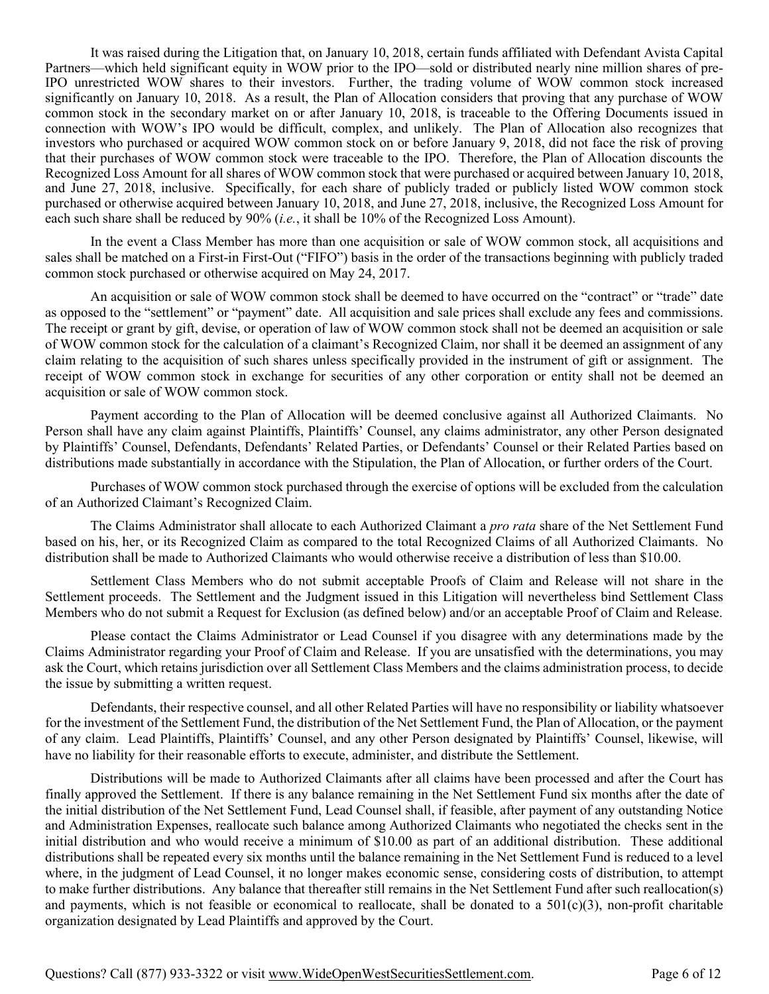It was raised during the Litigation that, on January 10, 2018, certain funds affiliated with Defendant Avista Capital Partners—which held significant equity in WOW prior to the IPO—sold or distributed nearly nine million shares of pre-IPO unrestricted WOW shares to their investors. Further, the trading volume of WOW common stock increased significantly on January 10, 2018. As a result, the Plan of Allocation considers that proving that any purchase of WOW common stock in the secondary market on or after January 10, 2018, is traceable to the Offering Documents issued in connection with WOW's IPO would be difficult, complex, and unlikely. The Plan of Allocation also recognizes that investors who purchased or acquired WOW common stock on or before January 9, 2018, did not face the risk of proving that their purchases of WOW common stock were traceable to the IPO. Therefore, the Plan of Allocation discounts the Recognized Loss Amount for all shares of WOW common stock that were purchased or acquired between January 10, 2018, and June 27, 2018, inclusive. Specifically, for each share of publicly traded or publicly listed WOW common stock purchased or otherwise acquired between January 10, 2018, and June 27, 2018, inclusive, the Recognized Loss Amount for each such share shall be reduced by 90% (*i.e.*, it shall be 10% of the Recognized Loss Amount).

In the event a Class Member has more than one acquisition or sale of WOW common stock, all acquisitions and sales shall be matched on a First-in First-Out ("FIFO") basis in the order of the transactions beginning with publicly traded common stock purchased or otherwise acquired on May 24, 2017.

An acquisition or sale of WOW common stock shall be deemed to have occurred on the "contract" or "trade" date as opposed to the "settlement" or "payment" date. All acquisition and sale prices shall exclude any fees and commissions. The receipt or grant by gift, devise, or operation of law of WOW common stock shall not be deemed an acquisition or sale of WOW common stock for the calculation of a claimant's Recognized Claim, nor shall it be deemed an assignment of any claim relating to the acquisition of such shares unless specifically provided in the instrument of gift or assignment. The receipt of WOW common stock in exchange for securities of any other corporation or entity shall not be deemed an acquisition or sale of WOW common stock.

Payment according to the Plan of Allocation will be deemed conclusive against all Authorized Claimants. No Person shall have any claim against Plaintiffs, Plaintiffs' Counsel, any claims administrator, any other Person designated by Plaintiffs' Counsel, Defendants, Defendants' Related Parties, or Defendants' Counsel or their Related Parties based on distributions made substantially in accordance with the Stipulation, the Plan of Allocation, or further orders of the Court.

Purchases of WOW common stock purchased through the exercise of options will be excluded from the calculation of an Authorized Claimant's Recognized Claim.

The Claims Administrator shall allocate to each Authorized Claimant a *pro rata* share of the Net Settlement Fund based on his, her, or its Recognized Claim as compared to the total Recognized Claims of all Authorized Claimants. No distribution shall be made to Authorized Claimants who would otherwise receive a distribution of less than \$10.00.

Settlement Class Members who do not submit acceptable Proofs of Claim and Release will not share in the Settlement proceeds. The Settlement and the Judgment issued in this Litigation will nevertheless bind Settlement Class Members who do not submit a Request for Exclusion (as defined below) and/or an acceptable Proof of Claim and Release.

Please contact the Claims Administrator or Lead Counsel if you disagree with any determinations made by the Claims Administrator regarding your Proof of Claim and Release. If you are unsatisfied with the determinations, you may ask the Court, which retains jurisdiction over all Settlement Class Members and the claims administration process, to decide the issue by submitting a written request.

Defendants, their respective counsel, and all other Related Parties will have no responsibility or liability whatsoever for the investment of the Settlement Fund, the distribution of the Net Settlement Fund, the Plan of Allocation, or the payment of any claim. Lead Plaintiffs, Plaintiffs' Counsel, and any other Person designated by Plaintiffs' Counsel, likewise, will have no liability for their reasonable efforts to execute, administer, and distribute the Settlement.

Distributions will be made to Authorized Claimants after all claims have been processed and after the Court has finally approved the Settlement. If there is any balance remaining in the Net Settlement Fund six months after the date of the initial distribution of the Net Settlement Fund, Lead Counsel shall, if feasible, after payment of any outstanding Notice and Administration Expenses, reallocate such balance among Authorized Claimants who negotiated the checks sent in the initial distribution and who would receive a minimum of \$10.00 as part of an additional distribution. These additional distributions shall be repeated every six months until the balance remaining in the Net Settlement Fund is reduced to a level where, in the judgment of Lead Counsel, it no longer makes economic sense, considering costs of distribution, to attempt to make further distributions. Any balance that thereafter still remains in the Net Settlement Fund after such reallocation(s) and payments, which is not feasible or economical to reallocate, shall be donated to a  $501(c)(3)$ , non-profit charitable organization designated by Lead Plaintiffs and approved by the Court.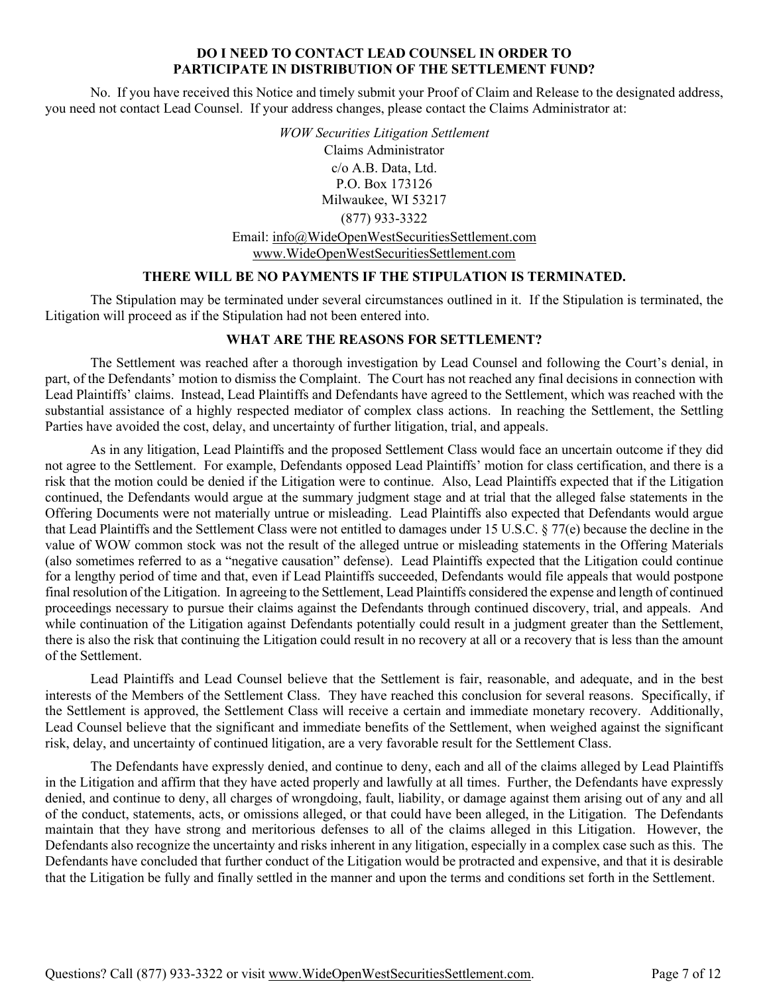### **DO I NEED TO CONTACT LEAD COUNSEL IN ORDER TO PARTICIPATE IN DISTRIBUTION OF THE SETTLEMENT FUND?**

No. If you have received this Notice and timely submit your Proof of Claim and Release to the designated address, you need not contact Lead Counsel. If your address changes, please contact the Claims Administrator at:

> *WOW Securities Litigation Settlement*  Claims Administrator c/o A.B. Data, Ltd. P.O. Box 173126 Milwaukee, WI 53217 (877) 933-3322 Email: info@WideOpenWestSecuritiesSettlement.com www.WideOpenWestSecuritiesSettlement.com

### **THERE WILL BE NO PAYMENTS IF THE STIPULATION IS TERMINATED.**

The Stipulation may be terminated under several circumstances outlined in it. If the Stipulation is terminated, the Litigation will proceed as if the Stipulation had not been entered into.

## **WHAT ARE THE REASONS FOR SETTLEMENT?**

The Settlement was reached after a thorough investigation by Lead Counsel and following the Court's denial, in part, of the Defendants' motion to dismiss the Complaint. The Court has not reached any final decisions in connection with Lead Plaintiffs' claims. Instead, Lead Plaintiffs and Defendants have agreed to the Settlement, which was reached with the substantial assistance of a highly respected mediator of complex class actions. In reaching the Settlement, the Settling Parties have avoided the cost, delay, and uncertainty of further litigation, trial, and appeals.

As in any litigation, Lead Plaintiffs and the proposed Settlement Class would face an uncertain outcome if they did not agree to the Settlement. For example, Defendants opposed Lead Plaintiffs' motion for class certification, and there is a risk that the motion could be denied if the Litigation were to continue. Also, Lead Plaintiffs expected that if the Litigation continued, the Defendants would argue at the summary judgment stage and at trial that the alleged false statements in the Offering Documents were not materially untrue or misleading. Lead Plaintiffs also expected that Defendants would argue that Lead Plaintiffs and the Settlement Class were not entitled to damages under 15 U.S.C. § 77(e) because the decline in the value of WOW common stock was not the result of the alleged untrue or misleading statements in the Offering Materials (also sometimes referred to as a "negative causation" defense). Lead Plaintiffs expected that the Litigation could continue for a lengthy period of time and that, even if Lead Plaintiffs succeeded, Defendants would file appeals that would postpone final resolution of the Litigation. In agreeing to the Settlement, Lead Plaintiffs considered the expense and length of continued proceedings necessary to pursue their claims against the Defendants through continued discovery, trial, and appeals. And while continuation of the Litigation against Defendants potentially could result in a judgment greater than the Settlement, there is also the risk that continuing the Litigation could result in no recovery at all or a recovery that is less than the amount of the Settlement.

Lead Plaintiffs and Lead Counsel believe that the Settlement is fair, reasonable, and adequate, and in the best interests of the Members of the Settlement Class. They have reached this conclusion for several reasons. Specifically, if the Settlement is approved, the Settlement Class will receive a certain and immediate monetary recovery. Additionally, Lead Counsel believe that the significant and immediate benefits of the Settlement, when weighed against the significant risk, delay, and uncertainty of continued litigation, are a very favorable result for the Settlement Class.

The Defendants have expressly denied, and continue to deny, each and all of the claims alleged by Lead Plaintiffs in the Litigation and affirm that they have acted properly and lawfully at all times. Further, the Defendants have expressly denied, and continue to deny, all charges of wrongdoing, fault, liability, or damage against them arising out of any and all of the conduct, statements, acts, or omissions alleged, or that could have been alleged, in the Litigation. The Defendants maintain that they have strong and meritorious defenses to all of the claims alleged in this Litigation. However, the Defendants also recognize the uncertainty and risks inherent in any litigation, especially in a complex case such as this. The Defendants have concluded that further conduct of the Litigation would be protracted and expensive, and that it is desirable that the Litigation be fully and finally settled in the manner and upon the terms and conditions set forth in the Settlement.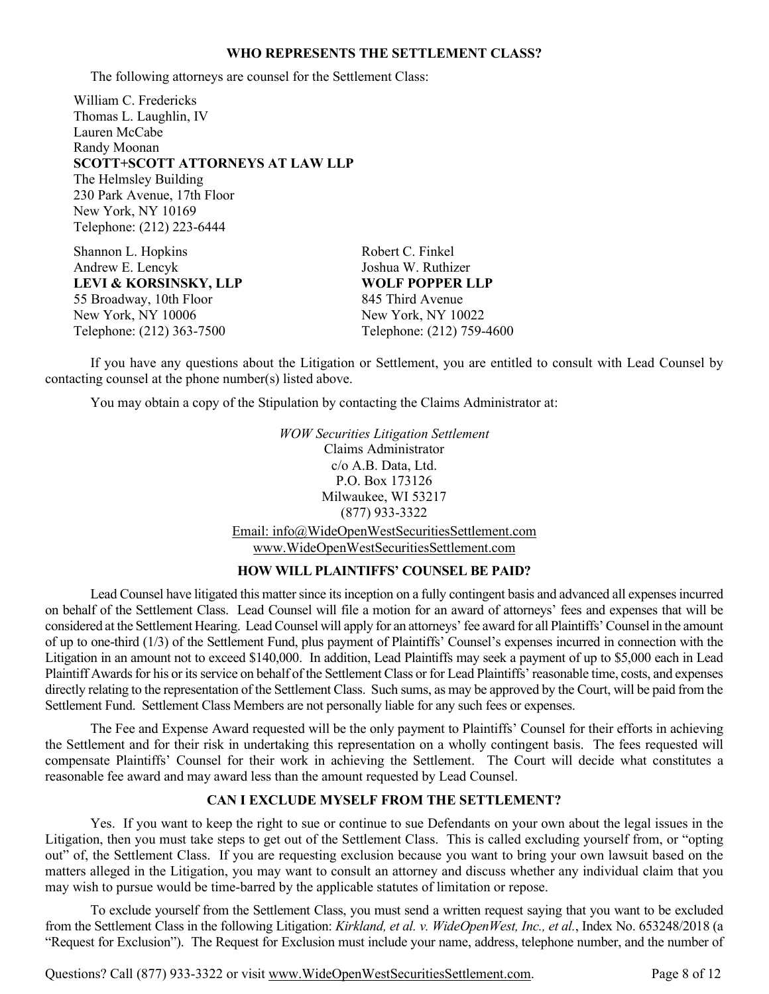#### **WHO REPRESENTS THE SETTLEMENT CLASS?**

The following attorneys are counsel for the Settlement Class:

William C. Fredericks Thomas L. Laughlin, IV Lauren McCabe Randy Moonan **SCOTT+SCOTT ATTORNEYS AT LAW LLP** The Helmsley Building 230 Park Avenue, 17th Floor New York, NY 10169 Telephone: (212) 223-6444

Shannon L. Hopkins Robert C. Finkel Andrew E. Lencyk Joshua W. Ruthizer **LEVI & KORSINSKY, LLP WOLF POPPER LLP** 55 Broadway, 10th Floor 845 Third Avenue New York, NY 10006 New York, NY 10022 Telephone: (212) 363-7500 Telephone: (212) 759-4600

If you have any questions about the Litigation or Settlement, you are entitled to consult with Lead Counsel by contacting counsel at the phone number(s) listed above.

You may obtain a copy of the Stipulation by contacting the Claims Administrator at:

*WOW Securities Litigation Settlement* Claims Administrator c/o A.B. Data, Ltd. P.O. Box 173126 Milwaukee, WI 53217 (877) 933-3322 Email: info@WideOpenWestSecuritiesSettlement.com www.WideOpenWestSecuritiesSettlement.com

#### **HOW WILL PLAINTIFFS' COUNSEL BE PAID?**

Lead Counsel have litigated this matter since its inception on a fully contingent basis and advanced all expenses incurred on behalf of the Settlement Class. Lead Counsel will file a motion for an award of attorneys' fees and expenses that will be considered at the Settlement Hearing. Lead Counsel will apply for an attorneys' fee award for all Plaintiffs' Counsel in the amount of up to one-third (1/3) of the Settlement Fund, plus payment of Plaintiffs' Counsel's expenses incurred in connection with the Litigation in an amount not to exceed \$140,000. In addition, Lead Plaintiffs may seek a payment of up to \$5,000 each in Lead Plaintiff Awards for his or its service on behalf of the Settlement Class or for Lead Plaintiffs' reasonable time, costs, and expenses directly relating to the representation of the Settlement Class. Such sums, as may be approved by the Court, will be paid from the Settlement Fund. Settlement Class Members are not personally liable for any such fees or expenses.

The Fee and Expense Award requested will be the only payment to Plaintiffs' Counsel for their efforts in achieving the Settlement and for their risk in undertaking this representation on a wholly contingent basis. The fees requested will compensate Plaintiffs' Counsel for their work in achieving the Settlement. The Court will decide what constitutes a reasonable fee award and may award less than the amount requested by Lead Counsel.

### **CAN I EXCLUDE MYSELF FROM THE SETTLEMENT?**

Yes. If you want to keep the right to sue or continue to sue Defendants on your own about the legal issues in the Litigation, then you must take steps to get out of the Settlement Class. This is called excluding yourself from, or "opting out" of, the Settlement Class. If you are requesting exclusion because you want to bring your own lawsuit based on the matters alleged in the Litigation, you may want to consult an attorney and discuss whether any individual claim that you may wish to pursue would be time-barred by the applicable statutes of limitation or repose.

To exclude yourself from the Settlement Class, you must send a written request saying that you want to be excluded from the Settlement Class in the following Litigation: *Kirkland, et al. v. WideOpenWest, Inc., et al.*, Index No. 653248/2018 (a "Request for Exclusion"). The Request for Exclusion must include your name, address, telephone number, and the number of

Questions? Call (877) 933-3322 or visit www.WideOpenWestSecuritiesSettlement.com. Page 8 of 12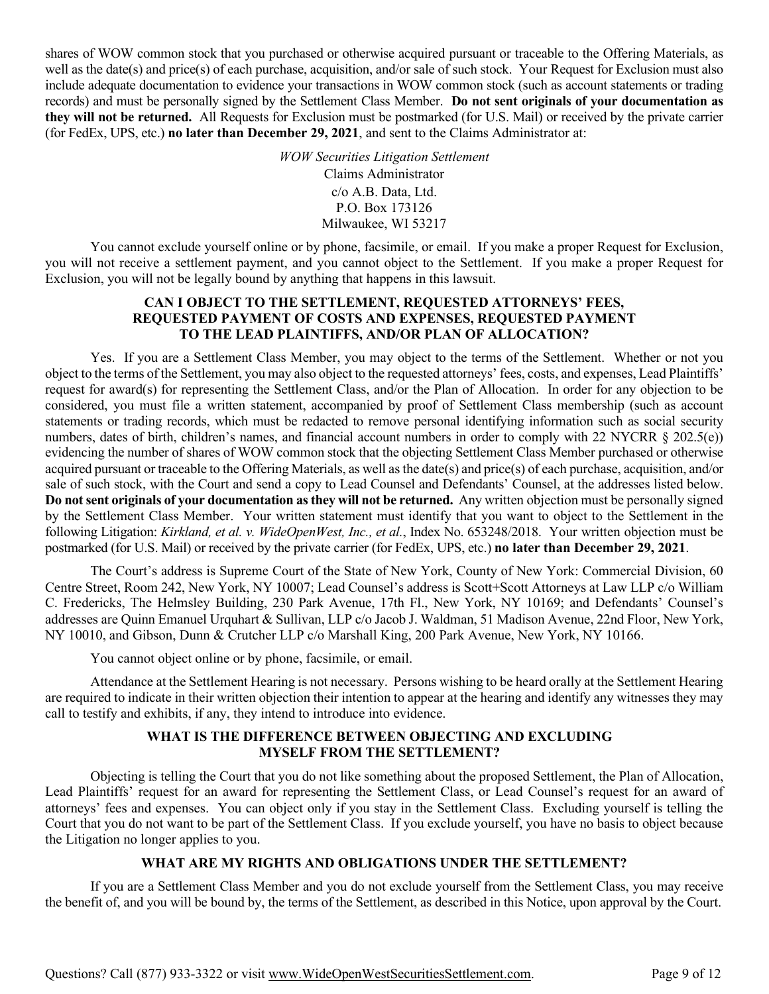shares of WOW common stock that you purchased or otherwise acquired pursuant or traceable to the Offering Materials, as well as the date(s) and price(s) of each purchase, acquisition, and/or sale of such stock. Your Request for Exclusion must also include adequate documentation to evidence your transactions in WOW common stock (such as account statements or trading records) and must be personally signed by the Settlement Class Member. **Do not sent originals of your documentation as they will not be returned.** All Requests for Exclusion must be postmarked (for U.S. Mail) or received by the private carrier (for FedEx, UPS, etc.) **no later than December 29, 2021**, and sent to the Claims Administrator at:

> *WOW Securities Litigation Settlement* Claims Administrator c/o A.B. Data, Ltd. P.O. Box 173126 Milwaukee, WI 53217

You cannot exclude yourself online or by phone, facsimile, or email. If you make a proper Request for Exclusion, you will not receive a settlement payment, and you cannot object to the Settlement. If you make a proper Request for Exclusion, you will not be legally bound by anything that happens in this lawsuit.

## **CAN I OBJECT TO THE SETTLEMENT, REQUESTED ATTORNEYS' FEES, REQUESTED PAYMENT OF COSTS AND EXPENSES, REQUESTED PAYMENT TO THE LEAD PLAINTIFFS, AND/OR PLAN OF ALLOCATION?**

Yes. If you are a Settlement Class Member, you may object to the terms of the Settlement. Whether or not you object to the terms of the Settlement, you may also object to the requested attorneys' fees, costs, and expenses, Lead Plaintiffs' request for award(s) for representing the Settlement Class, and/or the Plan of Allocation. In order for any objection to be considered, you must file a written statement, accompanied by proof of Settlement Class membership (such as account statements or trading records, which must be redacted to remove personal identifying information such as social security numbers, dates of birth, children's names, and financial account numbers in order to comply with 22 NYCRR § 202.5(e)) evidencing the number of shares of WOW common stock that the objecting Settlement Class Member purchased or otherwise acquired pursuant or traceable to the Offering Materials, as well as the date(s) and price(s) of each purchase, acquisition, and/or sale of such stock, with the Court and send a copy to Lead Counsel and Defendants' Counsel, at the addresses listed below. **Do not sent originals of your documentation as they will not be returned.** Any written objection must be personally signed by the Settlement Class Member. Your written statement must identify that you want to object to the Settlement in the following Litigation: *Kirkland, et al. v. WideOpenWest, Inc., et al.*, Index No. 653248/2018. Your written objection must be postmarked (for U.S. Mail) or received by the private carrier (for FedEx, UPS, etc.) **no later than December 29, 2021**.

The Court's address is Supreme Court of the State of New York, County of New York: Commercial Division, 60 Centre Street, Room 242, New York, NY 10007; Lead Counsel's address is Scott+Scott Attorneys at Law LLP c/o William C. Fredericks, The Helmsley Building, 230 Park Avenue, 17th Fl., New York, NY 10169; and Defendants' Counsel's addresses are Quinn Emanuel Urquhart & Sullivan, LLP c/o Jacob J. Waldman, 51 Madison Avenue, 22nd Floor, New York, NY 10010, and Gibson, Dunn & Crutcher LLP c/o Marshall King, 200 Park Avenue, New York, NY 10166.

You cannot object online or by phone, facsimile, or email.

Attendance at the Settlement Hearing is not necessary. Persons wishing to be heard orally at the Settlement Hearing are required to indicate in their written objection their intention to appear at the hearing and identify any witnesses they may call to testify and exhibits, if any, they intend to introduce into evidence.

## **WHAT IS THE DIFFERENCE BETWEEN OBJECTING AND EXCLUDING MYSELF FROM THE SETTLEMENT?**

Objecting is telling the Court that you do not like something about the proposed Settlement, the Plan of Allocation, Lead Plaintiffs' request for an award for representing the Settlement Class, or Lead Counsel's request for an award of attorneys' fees and expenses. You can object only if you stay in the Settlement Class. Excluding yourself is telling the Court that you do not want to be part of the Settlement Class. If you exclude yourself, you have no basis to object because the Litigation no longer applies to you.

# **WHAT ARE MY RIGHTS AND OBLIGATIONS UNDER THE SETTLEMENT?**

If you are a Settlement Class Member and you do not exclude yourself from the Settlement Class, you may receive the benefit of, and you will be bound by, the terms of the Settlement, as described in this Notice, upon approval by the Court.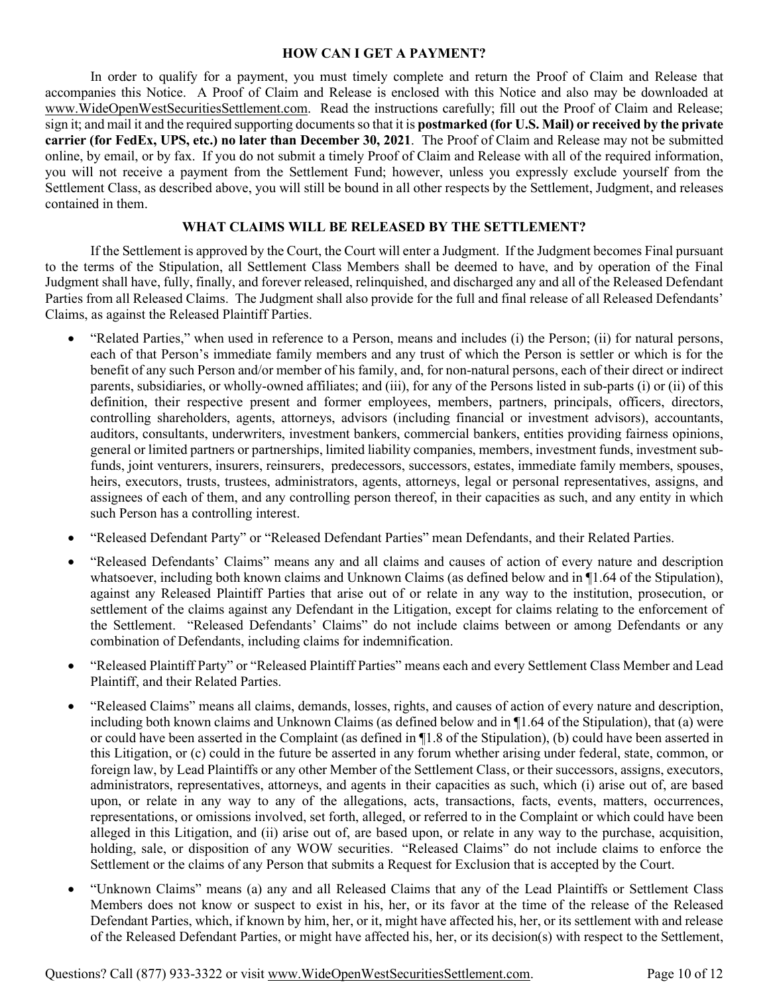#### **HOW CAN I GET A PAYMENT?**

In order to qualify for a payment, you must timely complete and return the Proof of Claim and Release that accompanies this Notice. A Proof of Claim and Release is enclosed with this Notice and also may be downloaded at www.WideOpenWestSecuritiesSettlement.com. Read the instructions carefully; fill out the Proof of Claim and Release; sign it; and mail it and the required supporting documents so that it is **postmarked (for U.S. Mail) or received by the private carrier (for FedEx, UPS, etc.) no later than December 30, 2021**. The Proof of Claim and Release may not be submitted online, by email, or by fax. If you do not submit a timely Proof of Claim and Release with all of the required information, you will not receive a payment from the Settlement Fund; however, unless you expressly exclude yourself from the Settlement Class, as described above, you will still be bound in all other respects by the Settlement, Judgment, and releases contained in them.

### **WHAT CLAIMS WILL BE RELEASED BY THE SETTLEMENT?**

If the Settlement is approved by the Court, the Court will enter a Judgment. If the Judgment becomes Final pursuant to the terms of the Stipulation, all Settlement Class Members shall be deemed to have, and by operation of the Final Judgment shall have, fully, finally, and forever released, relinquished, and discharged any and all of the Released Defendant Parties from all Released Claims. The Judgment shall also provide for the full and final release of all Released Defendants' Claims, as against the Released Plaintiff Parties.

- "Related Parties," when used in reference to a Person, means and includes (i) the Person; (ii) for natural persons, each of that Person's immediate family members and any trust of which the Person is settler or which is for the benefit of any such Person and/or member of his family, and, for non-natural persons, each of their direct or indirect parents, subsidiaries, or wholly-owned affiliates; and (iii), for any of the Persons listed in sub-parts (i) or (ii) of this definition, their respective present and former employees, members, partners, principals, officers, directors, controlling shareholders, agents, attorneys, advisors (including financial or investment advisors), accountants, auditors, consultants, underwriters, investment bankers, commercial bankers, entities providing fairness opinions, general or limited partners or partnerships, limited liability companies, members, investment funds, investment subfunds, joint venturers, insurers, reinsurers, predecessors, successors, estates, immediate family members, spouses, heirs, executors, trusts, trustees, administrators, agents, attorneys, legal or personal representatives, assigns, and assignees of each of them, and any controlling person thereof, in their capacities as such, and any entity in which such Person has a controlling interest.
- "Released Defendant Party" or "Released Defendant Parties" mean Defendants, and their Related Parties.
- "Released Defendants' Claims" means any and all claims and causes of action of every nature and description whatsoever, including both known claims and Unknown Claims (as defined below and in ¶1.64 of the Stipulation), against any Released Plaintiff Parties that arise out of or relate in any way to the institution, prosecution, or settlement of the claims against any Defendant in the Litigation, except for claims relating to the enforcement of the Settlement. "Released Defendants' Claims" do not include claims between or among Defendants or any combination of Defendants, including claims for indemnification.
- "Released Plaintiff Party" or "Released Plaintiff Parties" means each and every Settlement Class Member and Lead Plaintiff, and their Related Parties.
- "Released Claims" means all claims, demands, losses, rights, and causes of action of every nature and description, including both known claims and Unknown Claims (as defined below and in ¶1.64 of the Stipulation), that (a) were or could have been asserted in the Complaint (as defined in ¶1.8 of the Stipulation), (b) could have been asserted in this Litigation, or (c) could in the future be asserted in any forum whether arising under federal, state, common, or foreign law, by Lead Plaintiffs or any other Member of the Settlement Class, or their successors, assigns, executors, administrators, representatives, attorneys, and agents in their capacities as such, which (i) arise out of, are based upon, or relate in any way to any of the allegations, acts, transactions, facts, events, matters, occurrences, representations, or omissions involved, set forth, alleged, or referred to in the Complaint or which could have been alleged in this Litigation, and (ii) arise out of, are based upon, or relate in any way to the purchase, acquisition, holding, sale, or disposition of any WOW securities. "Released Claims" do not include claims to enforce the Settlement or the claims of any Person that submits a Request for Exclusion that is accepted by the Court.
- "Unknown Claims" means (a) any and all Released Claims that any of the Lead Plaintiffs or Settlement Class Members does not know or suspect to exist in his, her, or its favor at the time of the release of the Released Defendant Parties, which, if known by him, her, or it, might have affected his, her, or its settlement with and release of the Released Defendant Parties, or might have affected his, her, or its decision(s) with respect to the Settlement,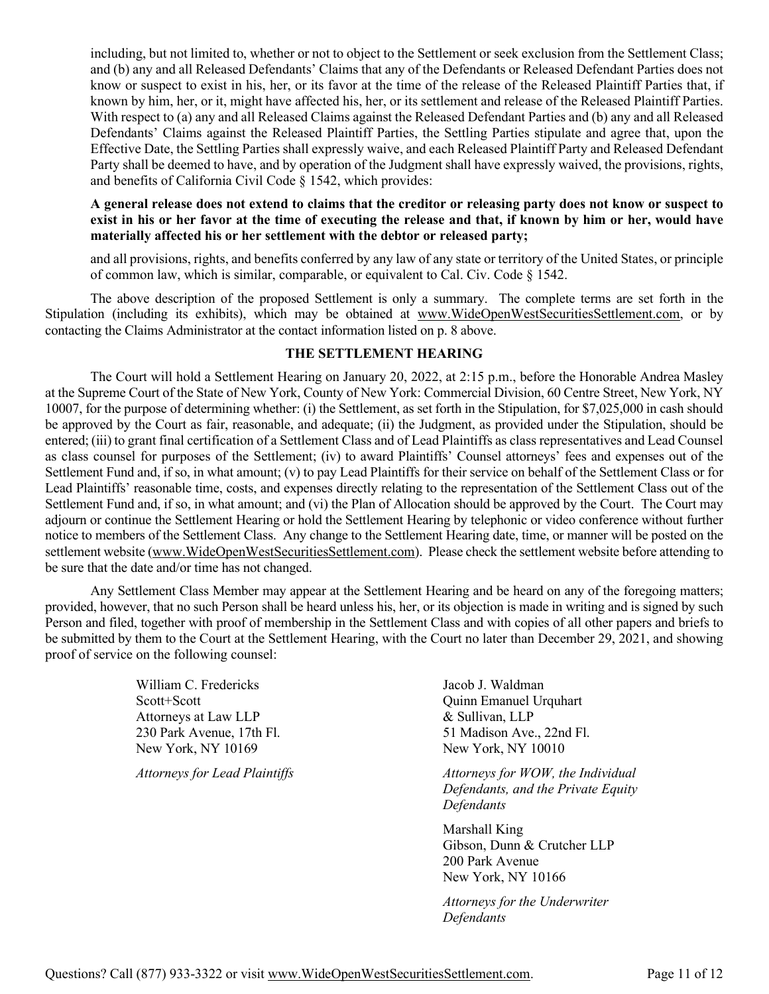including, but not limited to, whether or not to object to the Settlement or seek exclusion from the Settlement Class; and (b) any and all Released Defendants' Claims that any of the Defendants or Released Defendant Parties does not know or suspect to exist in his, her, or its favor at the time of the release of the Released Plaintiff Parties that, if known by him, her, or it, might have affected his, her, or its settlement and release of the Released Plaintiff Parties. With respect to (a) any and all Released Claims against the Released Defendant Parties and (b) any and all Released Defendants' Claims against the Released Plaintiff Parties, the Settling Parties stipulate and agree that, upon the Effective Date, the Settling Parties shall expressly waive, and each Released Plaintiff Party and Released Defendant Party shall be deemed to have, and by operation of the Judgment shall have expressly waived, the provisions, rights, and benefits of California Civil Code § 1542, which provides:

### **A general release does not extend to claims that the creditor or releasing party does not know or suspect to exist in his or her favor at the time of executing the release and that, if known by him or her, would have materially affected his or her settlement with the debtor or released party;**

and all provisions, rights, and benefits conferred by any law of any state or territory of the United States, or principle of common law, which is similar, comparable, or equivalent to Cal. Civ. Code § 1542.

The above description of the proposed Settlement is only a summary. The complete terms are set forth in the Stipulation (including its exhibits), which may be obtained at www.WideOpenWestSecuritiesSettlement.com, or by contacting the Claims Administrator at the contact information listed on p. 8 above.

## **THE SETTLEMENT HEARING**

The Court will hold a Settlement Hearing on January 20, 2022, at 2:15 p.m., before the Honorable Andrea Masley at the Supreme Court of the State of New York, County of New York: Commercial Division, 60 Centre Street, New York, NY 10007, for the purpose of determining whether: (i) the Settlement, as set forth in the Stipulation, for \$7,025,000 in cash should be approved by the Court as fair, reasonable, and adequate; (ii) the Judgment, as provided under the Stipulation, should be entered; (iii) to grant final certification of a Settlement Class and of Lead Plaintiffs as class representatives and Lead Counsel as class counsel for purposes of the Settlement; (iv) to award Plaintiffs' Counsel attorneys' fees and expenses out of the Settlement Fund and, if so, in what amount; (v) to pay Lead Plaintiffs for their service on behalf of the Settlement Class or for Lead Plaintiffs' reasonable time, costs, and expenses directly relating to the representation of the Settlement Class out of the Settlement Fund and, if so, in what amount; and (vi) the Plan of Allocation should be approved by the Court. The Court may adjourn or continue the Settlement Hearing or hold the Settlement Hearing by telephonic or video conference without further notice to members of the Settlement Class. Any change to the Settlement Hearing date, time, or manner will be posted on the settlement website (www.WideOpenWestSecuritiesSettlement.com). Please check the settlement website before attending to be sure that the date and/or time has not changed.

Any Settlement Class Member may appear at the Settlement Hearing and be heard on any of the foregoing matters; provided, however, that no such Person shall be heard unless his, her, or its objection is made in writing and is signed by such Person and filed, together with proof of membership in the Settlement Class and with copies of all other papers and briefs to be submitted by them to the Court at the Settlement Hearing, with the Court no later than December 29, 2021, and showing proof of service on the following counsel:

> William C. Fredericks Scott+Scott Attorneys at Law LLP 230 Park Avenue, 17th Fl. New York, NY 10169

*Attorneys for Lead Plaintiffs*

Jacob J. Waldman Quinn Emanuel Urquhart & Sullivan, LLP 51 Madison Ave., 22nd Fl. New York, NY 10010

*Attorneys for WOW, the Individual Defendants, and the Private Equity Defendants*

Marshall King Gibson, Dunn & Crutcher LLP 200 Park Avenue New York, NY 10166

*Attorneys for the Underwriter Defendants*